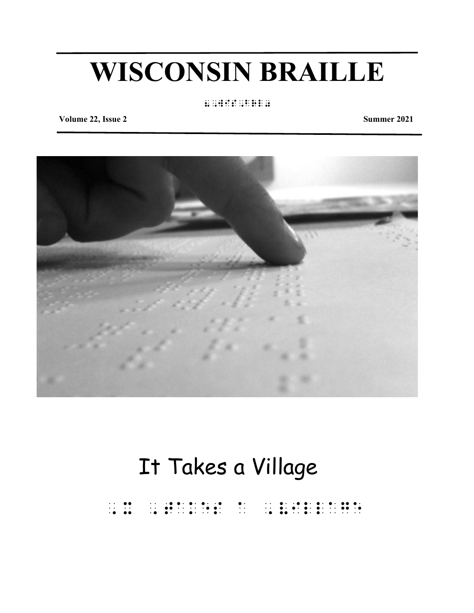## **WISCONSIN BRAILLE**

#### 8,wis,brl0

**Volume 22, Issue 2** Summer 2021



## It Takes a Village

,  $x \rightarrow 0$ ,  $x \rightarrow 0$ ,  $x \rightarrow 0$ ,  $x \rightarrow 0$ ,  $x \rightarrow 0$ ,  $x \rightarrow 0$ ,  $x \rightarrow 0$ ,  $x \rightarrow 0$ ,  $x \rightarrow 0$ ,  $x \rightarrow 0$ ,  $x \rightarrow 0$ ,  $x \rightarrow 0$ ,  $x \rightarrow 0$ ,  $x \rightarrow 0$ ,  $x \rightarrow 0$ ,  $x \rightarrow 0$ ,  $x \rightarrow 0$ ,  $x \rightarrow 0$ ,  $x \rightarrow 0$ ,  $x \rightarrow 0$ ,  $x \rightarrow 0$ ,  $x \rightarrow 0$ ,  $x \rightarrow 0$ ,  $x \rightarrow 0$ ,  $x \$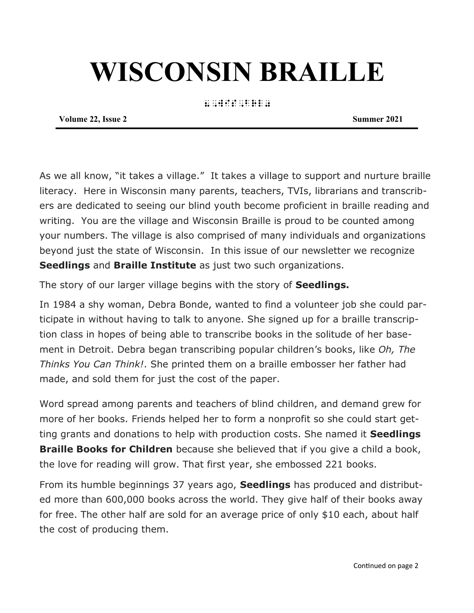# **WISCONSIN BRAILLE**

8,wis,brl0

**Volume 22, Issue 2** Summer 2021

As we all know, "it takes a village." It takes a village to support and nurture braille literacy. Here in Wisconsin many parents, teachers, TVIs, librarians and transcribers are dedicated to seeing our blind youth become proficient in braille reading and writing. You are the village and Wisconsin Braille is proud to be counted among your numbers. The village is also comprised of many individuals and organizations beyond just the state of Wisconsin. In this issue of our newsletter we recognize **Seedlings** and **Braille Institute** as just two such organizations.

The story of our larger village begins with the story of **Seedlings.** 

In 1984 a shy woman, Debra Bonde, wanted to find a volunteer job she could participate in without having to talk to anyone. She signed up for a braille transcription class in hopes of being able to transcribe books in the solitude of her basement in Detroit. Debra began transcribing popular children's books, like *Oh, The Thinks You Can Think!*. She printed them on a braille embosser her father had made, and sold them for just the cost of the paper.

Word spread among parents and teachers of blind children, and demand grew for more of her books. Friends helped her to form a nonprofit so she could start getting grants and donations to help with production costs. She named it **Seedlings Braille Books for Children** because she believed that if you give a child a book, the love for reading will grow. That first year, she embossed 221 books.

From its humble beginnings 37 years ago, **Seedlings** has produced and distributed more than 600,000 books across the world. They give half of their books away for free. The other half are sold for an average price of only \$10 each, about half the cost of producing them.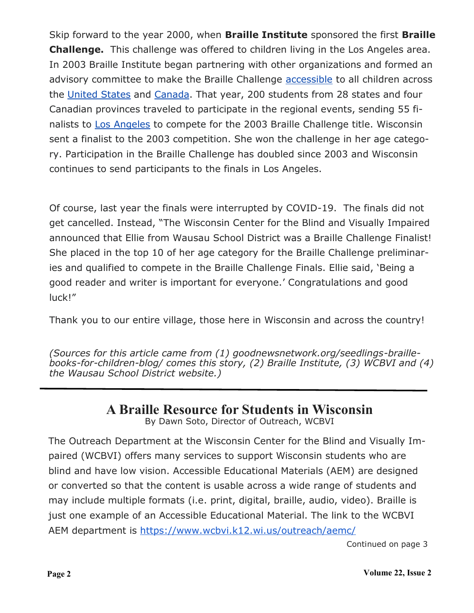Skip forward to the year 2000, when **Braille Institute** sponsored the first **Braille Challenge.** This challenge was offered to children living in the Los Angeles area. In 2003 Braille Institute began partnering with other organizations and formed an advisory committee to make the Braille Challenge [accessible](https://en.wikipedia.org/wiki/Accessible) to all children across the [United States](https://en.wikipedia.org/wiki/United_States) and [Canada.](https://en.wikipedia.org/wiki/Canada) That year, 200 students from 28 states and four Canadian provinces traveled to participate in the regional events, sending 55 fi-nalists to [Los Angeles](https://en.wikipedia.org/wiki/Los_Angeles) to compete for the 2003 Braille Challenge title. Wisconsin sent a finalist to the 2003 competition. She won the challenge in her age category. Participation in the Braille Challenge has doubled since 2003 and Wisconsin continues to send participants to the finals in Los Angeles.

Of course, last year the finals were interrupted by COVID-19. The finals did not get cancelled. Instead, "The Wisconsin Center for the Blind and Visually Impaired announced that Ellie from Wausau School District was a Braille Challenge Finalist! She placed in the top 10 of her age category for the Braille Challenge preliminaries and qualified to compete in the Braille Challenge Finals. Ellie said, 'Being a good reader and writer is important for everyone.' Congratulations and good luck!"

Thank you to our entire village, those here in Wisconsin and across the country!

*(Sources for this article came from (1) goodnewsnetwork.org/seedlings-braillebooks-for-children-blog/ comes this story, (2) Braille Institute, (3) WCBVI and (4) the Wausau School District website.)*

### **A Braille Resource for Students in Wisconsin**

By Dawn Soto, Director of Outreach, WCBVI

The Outreach Department at the Wisconsin Center for the Blind and Visually Impaired (WCBVI) offers many services to support Wisconsin students who are blind and have low vision. Accessible Educational Materials (AEM) are designed or converted so that the content is usable across a wide range of students and may include multiple formats (i.e. print, digital, braille, audio, video). Braille is just one example of an Accessible Educational Material. The link to the WCBVI AEM department is <https://www.wcbvi.k12.wi.us/outreach/aemc/>

Continued on page 3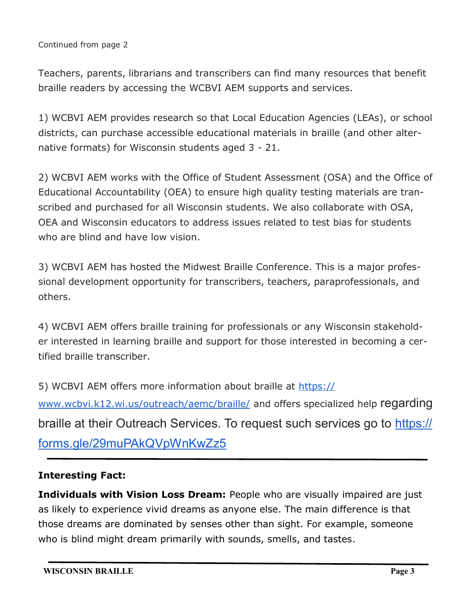Continued from page 2

Teachers, parents, librarians and transcribers can find many resources that benefit braille readers by accessing the WCBVI AEM supports and services.

1) WCBVI AEM provides research so that Local Education Agencies (LEAs), or school districts, can purchase accessible educational materials in braille (and other alternative formats) for Wisconsin students aged 3 - 21.

2) WCBVI AEM works with the Office of Student Assessment (OSA) and the Office of Educational Accountability (OEA) to ensure high quality testing materials are transcribed and purchased for all Wisconsin students. We also collaborate with OSA, OEA and Wisconsin educators to address issues related to test bias for students who are blind and have low vision.

3) WCBVI AEM has hosted the Midwest Braille Conference. This is a major professional development opportunity for transcribers, teachers, paraprofessionals, and others.

4) WCBVI AEM offers braille training for professionals or any Wisconsin stakeholder interested in learning braille and support for those interested in becoming a certified braille transcriber.

5) WCBVI AEM offers more information about braille at [https://](https://www.wcbvi.k12.wi.us/outreach/aemc/braille/) [www.wcbvi.k12.wi.us/outreach/aemc/braille/](https://www.wcbvi.k12.wi.us/outreach/aemc/braille/) and offers specialized help regarding braille at their Outreach Services. To request such services go to [https://](https://forms.gle/29muPAkQVpWnKwZz5) [forms.gle/29muPAkQVpWnKwZz5](https://forms.gle/29muPAkQVpWnKwZz5)

#### **Interesting Fact:**

**Individuals with Vision Loss Dream:** People who are visually impaired are just as likely to experience vivid dreams as anyone else. The main difference is that those dreams are dominated by senses other than sight. For example, someone who is blind might dream primarily with sounds, smells, and tastes.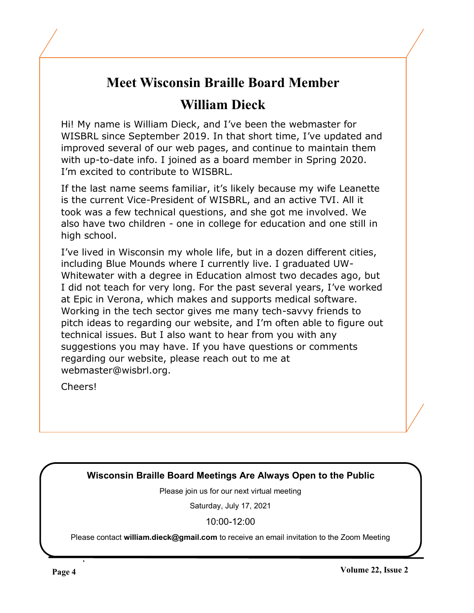## **Meet Wisconsin Braille Board Member**

## **William Dieck**

Hi! My name is William Dieck, and I've been the webmaster for WISBRL since September 2019. In that short time, I've updated and improved several of our web pages, and continue to maintain them with up-to-date info. I joined as a board member in Spring 2020. I'm excited to contribute to WISBRL.

If the last name seems familiar, it's likely because my wife Leanette is the current Vice-President of WISBRL, and an active TVI. All it took was a few technical questions, and she got me involved. We also have two children - one in college for education and one still in high school.

I've lived in Wisconsin my whole life, but in a dozen different cities, including Blue Mounds where I currently live. I graduated UW-Whitewater with a degree in Education almost two decades ago, but I did not teach for very long. For the past several years, I've worked at Epic in Verona, which makes and supports medical software. Working in the tech sector gives me many tech-savvy friends to pitch ideas to regarding our website, and I'm often able to figure out technical issues. But I also want to hear from you with any suggestions you may have. If you have questions or comments regarding our website, please reach out to me at webmaster@wisbrl.org.

Cheers!

#### **Wisconsin Braille Board Meetings Are Always Open to the Public**

Please join us for our next virtual meeting

Saturday, July 17, 2021

10:00-12:00

Please contact **william.dieck@gmail.com** to receive an email invitation to the Zoom Meeting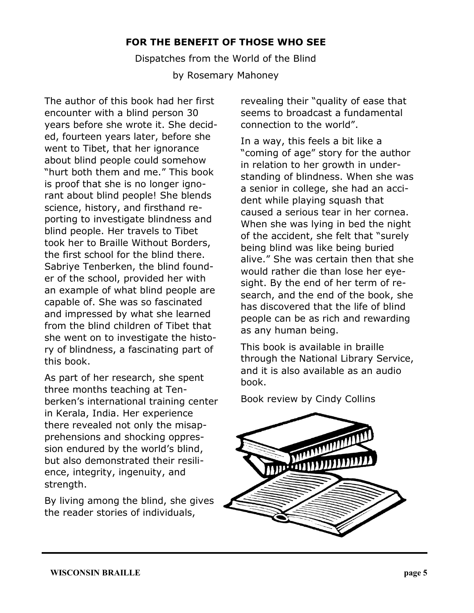#### **FOR THE BENEFIT OF THOSE WHO SEE**

Dispatches from the World of the Blind by Rosemary Mahoney

The author of this book had her first encounter with a blind person 30 years before she wrote it. She decided, fourteen years later, before she went to Tibet, that her ignorance about blind people could somehow "hurt both them and me." This book is proof that she is no longer ignorant about blind people! She blends science, history, and firsthand reporting to investigate blindness and blind people. Her travels to Tibet took her to Braille Without Borders, the first school for the blind there. Sabriye Tenberken, the blind founder of the school, provided her with an example of what blind people are capable of. She was so fascinated and impressed by what she learned from the blind children of Tibet that she went on to investigate the history of blindness, a fascinating part of this book.

As part of her research, she spent three months teaching at Tenberken's international training center in Kerala, India. Her experience there revealed not only the misapprehensions and shocking oppression endured by the world's blind, but also demonstrated their resilience, integrity, ingenuity, and strength.

By living among the blind, she gives the reader stories of individuals,

revealing their "quality of ease that seems to broadcast a fundamental connection to the world".

In a way, this feels a bit like a "coming of age" story for the author in relation to her growth in understanding of blindness. When she was a senior in college, she had an accident while playing squash that caused a serious tear in her cornea. When she was lying in bed the night of the accident, she felt that "surely being blind was like being buried alive." She was certain then that she would rather die than lose her eyesight. By the end of her term of research, and the end of the book, she has discovered that the life of blind people can be as rich and rewarding as any human being.

This book is available in braille through the National Library Service, and it is also available as an audio book.

Book review by Cindy Collins

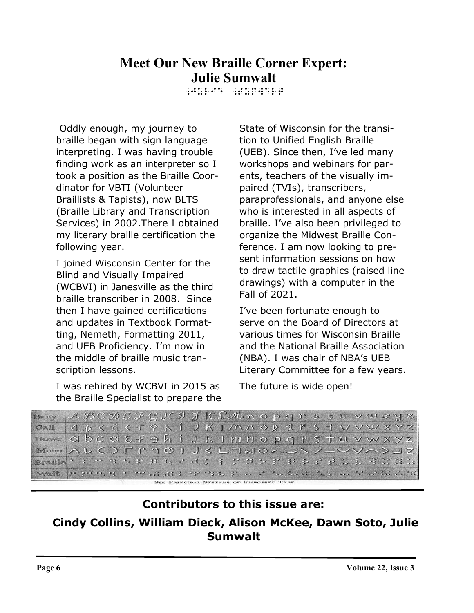## **Meet Our New Braille Corner Expert: Julie Sumwalt**

,jULIE ,sUMWALT

 Oddly enough, my journey to braille began with sign language interpreting. I was having trouble finding work as an interpreter so I took a position as the Braille Coordinator for VBTI (Volunteer Braillists & Tapists), now BLTS (Braille Library and Transcription Services) in 2002.There I obtained my literary braille certification the following year.

I joined Wisconsin Center for the Blind and Visually Impaired (WCBVI) in Janesville as the third braille transcriber in 2008. Since then I have gained certifications and updates in Textbook Formatting, Nemeth, Formatting 2011, and UEB Proficiency. I'm now in the middle of braille music transcription lessons.

I was rehired by WCBVI in 2015 as the Braille Specialist to prepare the State of Wisconsin for the transition to Unified English Braille (UEB). Since then, I've led many workshops and webinars for parents, teachers of the visually impaired (TVIs), transcribers, paraprofessionals, and anyone else who is interested in all aspects of braille. I've also been privileged to organize the Midwest Braille Conference. I am now looking to present information sessions on how to draw tactile graphics (raised line drawings) with a computer in the Fall of 2021.

I've been fortunate enough to serve on the Board of Directors at various times for Wisconsin Braille and the National Braille Association (NBA). I was chair of NBA's UEB Literary Committee for a few years.

The future is wide open!

```
Hairy ABCDEFGKIJKLMnopqrstuvwryz
    < * < < < * + * k i > K I M N O & & M & + V V W X Y Z
Ga<sup>\parallel</sup>
Howe
    QbcdEfghiJRImHOpqrstuvwxyzMoon AUCDFP101JKL7NOCS\/_VVA>JZ
Wait | High Hung in im 12 app ping in ping in 12 has award in 12 app app as 22 ap
               IX PRINCIPAL SYSTEMS OF EMBOSSED TYPE
```
### **Contributors to this issue are:**

### **Cindy Collins, William Dieck, Alison McKee, Dawn Soto, Julie Sumwalt**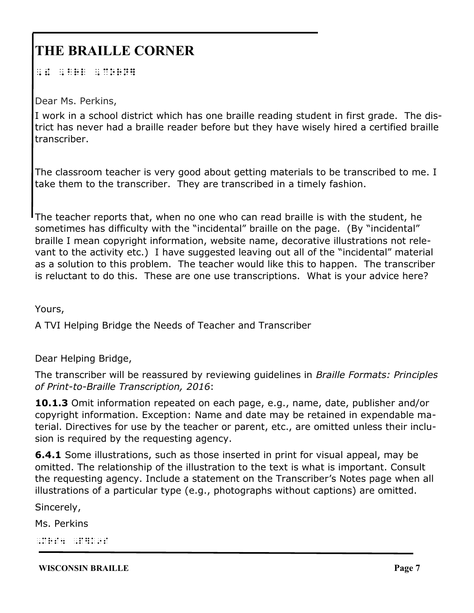## **THE BRAILLE CORNER**

,  $\frac{1}{2}$ ,  $\frac{1}{2}$ ,  $\frac{1}{2}$ ,  $\frac{1}{2}$ ,  $\frac{1}{2}$ ,  $\frac{1}{2}$ ,  $\frac{1}{2}$ ,  $\frac{1}{2}$ ,  $\frac{1}{2}$ ,  $\frac{1}{2}$ ,  $\frac{1}{2}$ ,  $\frac{1}{2}$ ,  $\frac{1}{2}$ ,  $\frac{1}{2}$ ,  $\frac{1}{2}$ ,  $\frac{1}{2}$ ,  $\frac{1}{2}$ ,  $\frac{1}{2}$ ,  $\frac{1}{2}$ ,  $\frac{1}{2}$ ,

Dear Ms. Perkins,

I work in a school district which has one braille reading student in first grade. The district has never had a braille reader before but they have wisely hired a certified braille transcriber.

The classroom teacher is very good about getting materials to be transcribed to me. I take them to the transcriber. They are transcribed in a timely fashion.

The teacher reports that, when no one who can read braille is with the student, he sometimes has difficulty with the "incidental" braille on the page. (By "incidental" braille I mean copyright information, website name, decorative illustrations not relevant to the activity etc.) I have suggested leaving out all of the "incidental" material as a solution to this problem. The teacher would like this to happen. The transcriber is reluctant to do this. These are one use transcriptions. What is your advice here?

Yours,

A TVI Helping Bridge the Needs of Teacher and Transcriber

Dear Helping Bridge,

The transcriber will be reassured by reviewing guidelines in *Braille Formats: Principles of Print-to-Braille Transcription, 2016*:

**10.1.3** Omit information repeated on each page, e.g., name, date, publisher and/or copyright information. Exception: Name and date may be retained in expendable material. Directives for use by the teacher or parent, etc., are omitted unless their inclusion is required by the requesting agency.

**6.4.1** Some illustrations, such as those inserted in print for visual appeal, may be omitted. The relationship of the illustration to the text is what is important. Consult the requesting agency. Include a statement on the Transcriber's Notes page when all illustrations of a particular type (e.g., photographs without captions) are omitted.

Sincerely,

Ms. Perkins

,mrs 4 , particular proposal (n. 1989)<br>1980 - Paris Holland, particular politica (n. 1989)<br>1980 - Paris Holland, particular politica (n. 1980)